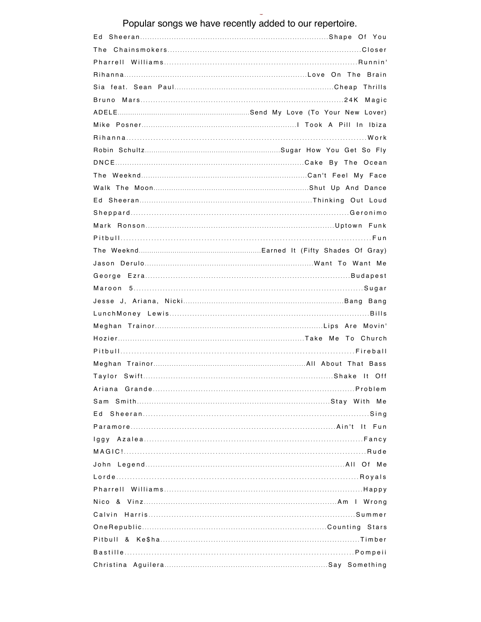Popular songs we have recently added to our repertoire.

| Ed |
|----|
|    |
|    |
|    |
|    |
|    |
|    |
|    |
|    |
|    |
|    |
|    |
|    |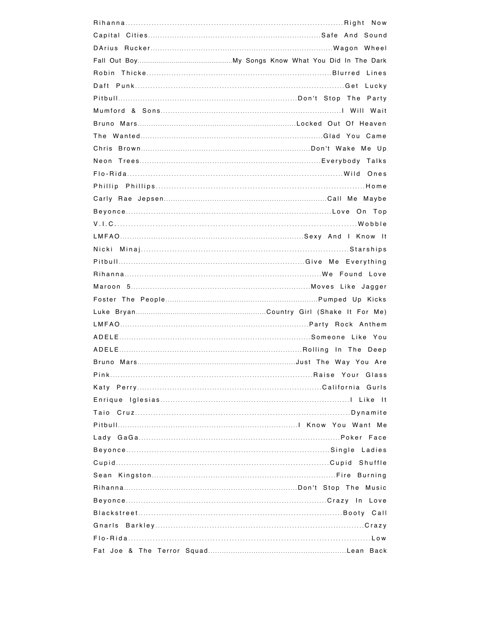| Burning |
|---------|
|         |
|         |
|         |
|         |
|         |
|         |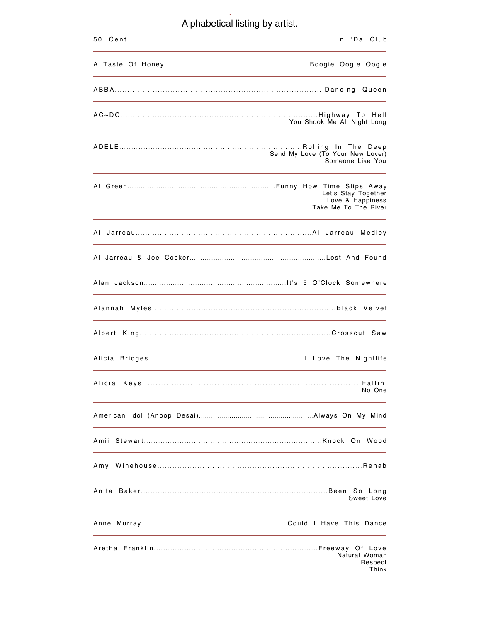## Complete List Alphabetical listing by artist.

|         | You Shook Me All Night Long                                     |
|---------|-----------------------------------------------------------------|
|         | Send My Love (To Your New Lover)<br>Someone Like You            |
|         | Let's Stay Together<br>Love & Happiness<br>Take Me To The River |
|         |                                                                 |
|         |                                                                 |
|         |                                                                 |
| Alannah |                                                                 |
|         |                                                                 |
|         |                                                                 |
| Alicia  | No One                                                          |
|         |                                                                 |
|         |                                                                 |
| Amy     |                                                                 |
|         | Sweet Love                                                      |
|         |                                                                 |
|         | Natural Woman<br>Respect<br>Think                               |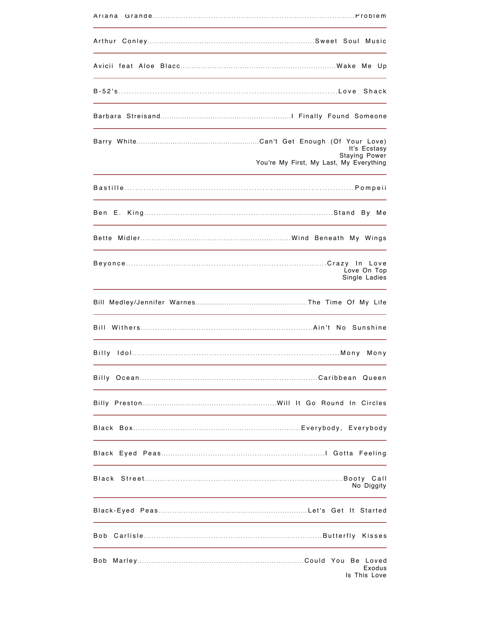| It's Ecstasy<br><b>Staying Power</b><br>You're My First, My Last, My Everything |
|---------------------------------------------------------------------------------|
|                                                                                 |
|                                                                                 |
|                                                                                 |
| Love On Top<br>Single Ladies                                                    |
|                                                                                 |
|                                                                                 |
|                                                                                 |
|                                                                                 |
|                                                                                 |
|                                                                                 |
|                                                                                 |
| No Diggity                                                                      |
|                                                                                 |
|                                                                                 |
| Bob<br>Exodus<br>Is This Love                                                   |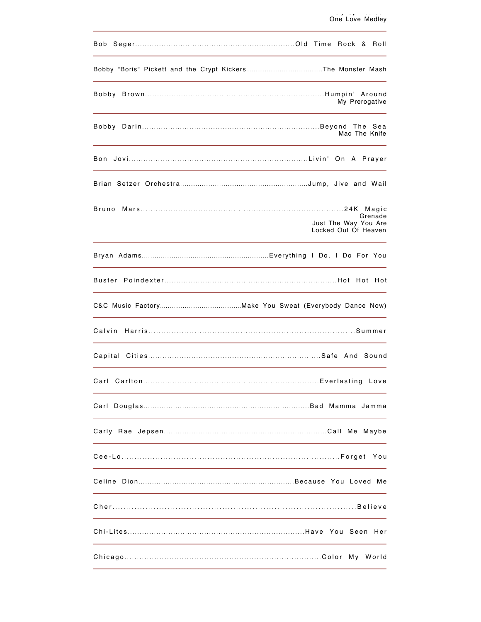|       |                                              |  | My Prerogative |
|-------|----------------------------------------------|--|----------------|
|       |                                              |  | Mac The Knife  |
|       |                                              |  |                |
|       |                                              |  |                |
| Bruno | Just The Way You Are<br>Locked Out Of Heaven |  | Grenade        |
|       |                                              |  |                |
|       |                                              |  |                |
|       |                                              |  |                |
|       |                                              |  |                |
|       |                                              |  |                |
|       |                                              |  |                |
|       |                                              |  |                |
|       |                                              |  |                |
|       |                                              |  | You            |
|       |                                              |  |                |
|       |                                              |  |                |
|       |                                              |  |                |
|       |                                              |  |                |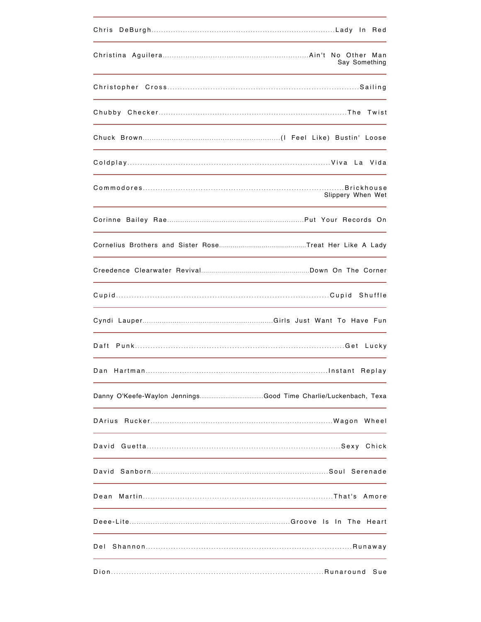|                                                         | Say Something                                                                                                    |
|---------------------------------------------------------|------------------------------------------------------------------------------------------------------------------|
|                                                         | and the control of the control of the control of the control of the control of the control of the control of the |
|                                                         |                                                                                                                  |
|                                                         |                                                                                                                  |
|                                                         |                                                                                                                  |
|                                                         | Slippery When Wet                                                                                                |
|                                                         |                                                                                                                  |
|                                                         |                                                                                                                  |
|                                                         |                                                                                                                  |
|                                                         |                                                                                                                  |
| <u> 1980 - Johann Barn, amerikan berkeman (h. 1980)</u> |                                                                                                                  |
|                                                         |                                                                                                                  |
|                                                         |                                                                                                                  |
|                                                         |                                                                                                                  |
|                                                         |                                                                                                                  |
|                                                         |                                                                                                                  |
|                                                         |                                                                                                                  |
| Dean                                                    |                                                                                                                  |
|                                                         |                                                                                                                  |
| Del                                                     |                                                                                                                  |
|                                                         | Sue                                                                                                              |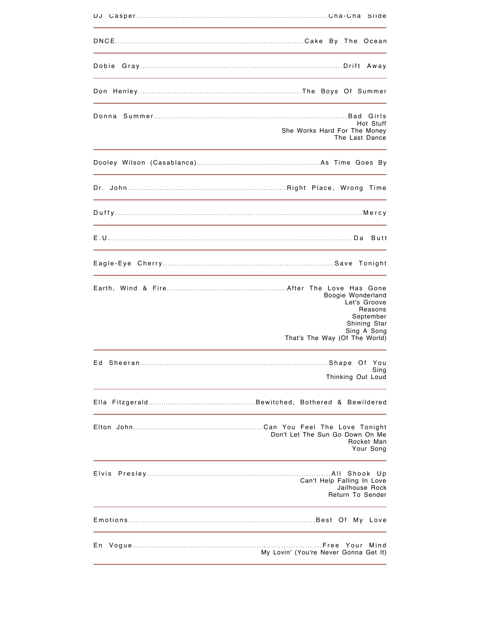|       | Hot Stuff<br>She Works Hard For The Money<br>The Last Dance                                                               |
|-------|---------------------------------------------------------------------------------------------------------------------------|
|       |                                                                                                                           |
|       |                                                                                                                           |
|       |                                                                                                                           |
|       |                                                                                                                           |
|       |                                                                                                                           |
|       | Boogie Wonderland<br>Let's Groove<br>Reasons<br>September<br>Shining Star<br>Sing A Song<br>That's The Way (Of The World) |
| Ed    | Sing<br>Thinking Out Loud                                                                                                 |
|       |                                                                                                                           |
|       | Don't Let The Sun Go Down On Me<br>Rocket Man<br>Your Song                                                                |
| Elvis | Can't Help Falling In Love<br>Jailhouse Rock<br>Return To Sender                                                          |
|       | Love                                                                                                                      |
| Εn    | Mind<br>My Lovin' (You're Never Gonna Get It)                                                                             |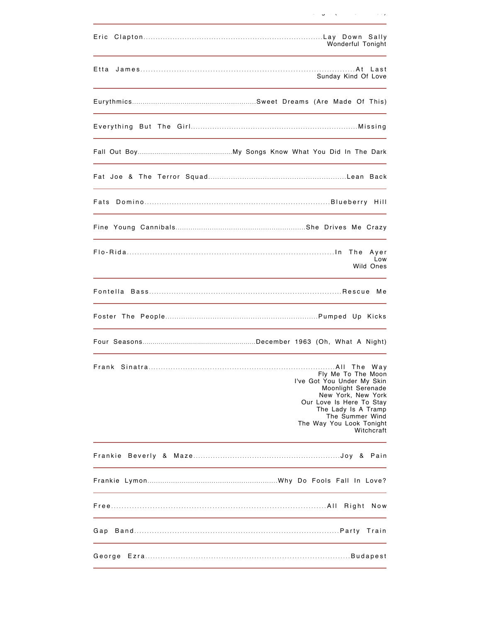| Eric    | Wonderful Tonight                                                                                                                                                                                            |
|---------|--------------------------------------------------------------------------------------------------------------------------------------------------------------------------------------------------------------|
| Etta    | Sunday Kind Of Love                                                                                                                                                                                          |
|         |                                                                                                                                                                                                              |
|         |                                                                                                                                                                                                              |
|         |                                                                                                                                                                                                              |
|         |                                                                                                                                                                                                              |
|         |                                                                                                                                                                                                              |
|         |                                                                                                                                                                                                              |
|         | The<br>Ayer<br>Low<br>Wild Ones                                                                                                                                                                              |
|         |                                                                                                                                                                                                              |
|         |                                                                                                                                                                                                              |
|         |                                                                                                                                                                                                              |
|         | Fly Me To The Moon<br>I've Got You Under My Skin<br>Moonlight Serenade<br>New York, New York<br>Our Love Is Here To Stay<br>The Lady Is A Tramp<br>The Summer Wind<br>The Way You Look Tonight<br>Witchcraft |
| Frankie |                                                                                                                                                                                                              |
|         |                                                                                                                                                                                                              |
|         | Right<br>Now                                                                                                                                                                                                 |
| Gap     |                                                                                                                                                                                                              |
|         |                                                                                                                                                                                                              |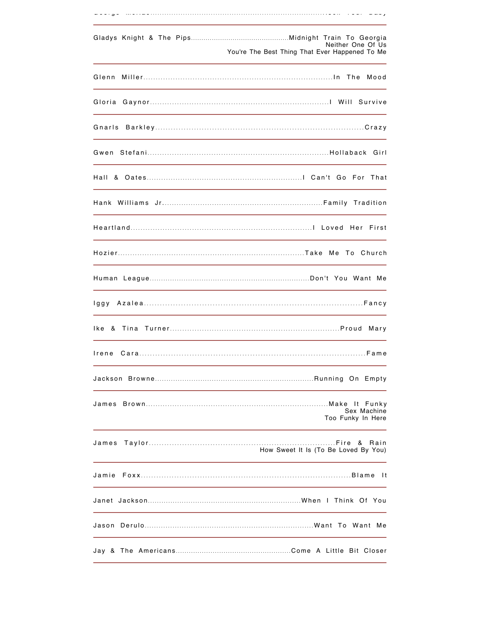|        | Neither One Of Us<br>You're The Best Thing That Ever Happened To Me |
|--------|---------------------------------------------------------------------|
| Glenn  | Mood                                                                |
| Gloria |                                                                     |
| Gnarls |                                                                     |
|        |                                                                     |
|        |                                                                     |
|        |                                                                     |
|        |                                                                     |
|        |                                                                     |
|        |                                                                     |
|        |                                                                     |
| lke.   | Marv                                                                |
| Irene  |                                                                     |
|        |                                                                     |
|        | Sex Machine<br>Too Funky In Here                                    |
| James  | &<br>Rain<br>How Sweet It Is (To Be Loved By You)                   |
| Jamie  | - It                                                                |
|        |                                                                     |
|        |                                                                     |
|        |                                                                     |

George McRae .......................................................................... Rock Your Baby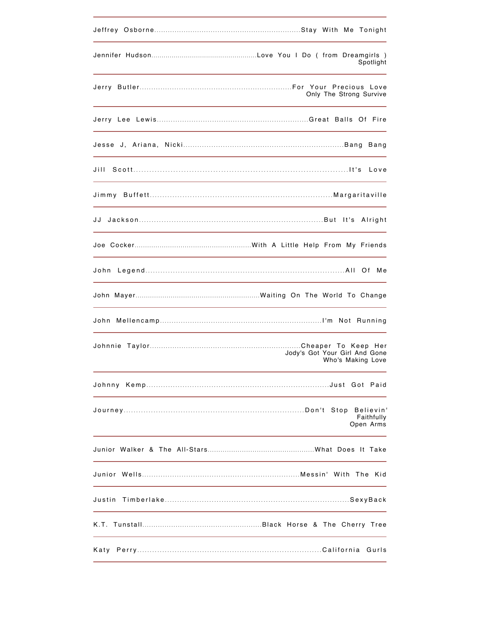|                               | Spotlight                            |
|-------------------------------|--------------------------------------|
|                               | Only The Strong Survive              |
|                               |                                      |
|                               |                                      |
|                               |                                      |
|                               |                                      |
|                               |                                      |
|                               |                                      |
|                               |                                      |
|                               |                                      |
|                               |                                      |
| Jody's Got Your Girl And Gone | Who's Making Love                    |
|                               |                                      |
|                               | Believin'<br>Faithfully<br>Open Arms |
|                               |                                      |
|                               |                                      |
| Justin                        |                                      |
|                               |                                      |
|                               |                                      |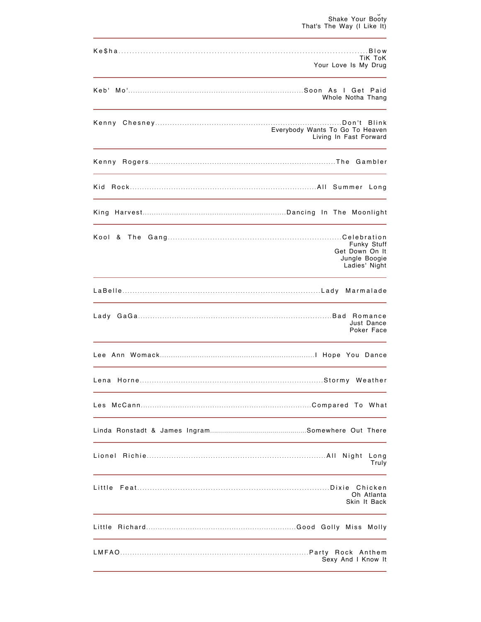| TiK ToK<br>Your Love Is My Drug                                                                                                                                                                                               |
|-------------------------------------------------------------------------------------------------------------------------------------------------------------------------------------------------------------------------------|
| Whole Notha Thang                                                                                                                                                                                                             |
| Everybody Wants To Go To Heaven<br>Living In Fast Forward                                                                                                                                                                     |
| the control of the control of the control of the control of the control of the control of the control of the control of the control of the control of the control of the control of the control of the control of the control |
|                                                                                                                                                                                                                               |
|                                                                                                                                                                                                                               |
| Funky Stuff<br>Get Down On It<br>Jungle Boogie<br>Ladies' Night                                                                                                                                                               |
| Marmalade                                                                                                                                                                                                                     |
| Just Dance<br>Poker Face                                                                                                                                                                                                      |
|                                                                                                                                                                                                                               |
|                                                                                                                                                                                                                               |
|                                                                                                                                                                                                                               |
|                                                                                                                                                                                                                               |
| Long<br>Truly                                                                                                                                                                                                                 |
| Little<br>Oh Atlanta<br>Skin It Back                                                                                                                                                                                          |
|                                                                                                                                                                                                                               |
| Sexy And I Know It                                                                                                                                                                                                            |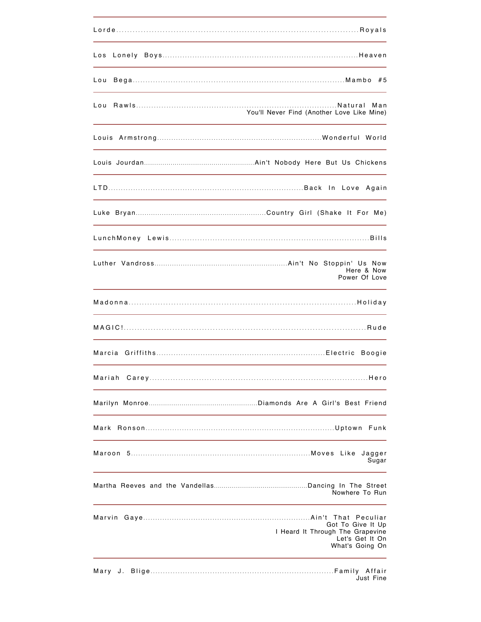| Los  |                                                                                             |
|------|---------------------------------------------------------------------------------------------|
| Lou  |                                                                                             |
|      | You'll Never Find (Another Love Like Mine)                                                  |
|      |                                                                                             |
|      |                                                                                             |
|      |                                                                                             |
|      |                                                                                             |
|      |                                                                                             |
|      | Here & Now<br>Power Of Love                                                                 |
|      |                                                                                             |
|      |                                                                                             |
|      | Boogie                                                                                      |
|      |                                                                                             |
|      |                                                                                             |
|      |                                                                                             |
|      | Jagger<br>Sugar                                                                             |
|      | Nowhere To Run                                                                              |
|      | Got To Give It Up<br>I Heard It Through The Grapevine<br>Let's Get It On<br>What's Going On |
| Mary | Just Fine                                                                                   |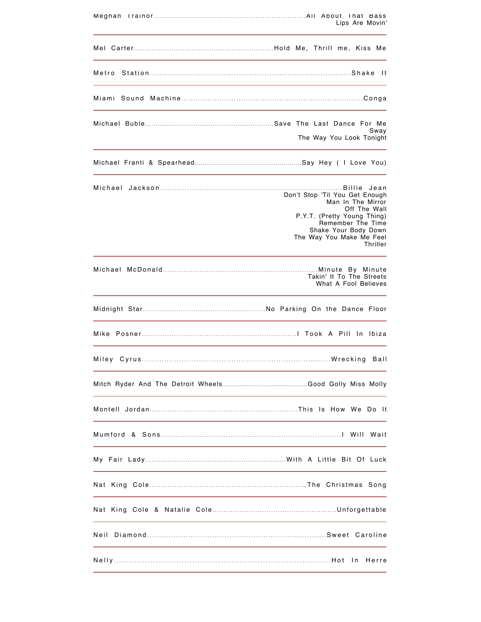|                                                                            | Lips Are Movin'                                                                                                                                                                         |
|----------------------------------------------------------------------------|-----------------------------------------------------------------------------------------------------------------------------------------------------------------------------------------|
|                                                                            |                                                                                                                                                                                         |
|                                                                            | - It                                                                                                                                                                                    |
|                                                                            |                                                                                                                                                                                         |
|                                                                            | Sway<br>The Way You Look Tonight                                                                                                                                                        |
|                                                                            |                                                                                                                                                                                         |
|                                                                            | Don't Stop 'Til You Get Enough<br>Man In The Mirror<br>Off The Wall<br>P.Y.T. (Pretty Young Thing)<br>Remember The Time<br>Shake Your Body Down<br>The Way You Make Me Feel<br>Thriller |
|                                                                            | Takin' It To The Streets<br>What A Fool Believes                                                                                                                                        |
|                                                                            |                                                                                                                                                                                         |
|                                                                            |                                                                                                                                                                                         |
|                                                                            |                                                                                                                                                                                         |
|                                                                            |                                                                                                                                                                                         |
|                                                                            |                                                                                                                                                                                         |
|                                                                            |                                                                                                                                                                                         |
|                                                                            |                                                                                                                                                                                         |
| the control of the control of the control of the control of the control of |                                                                                                                                                                                         |
|                                                                            |                                                                                                                                                                                         |
|                                                                            |                                                                                                                                                                                         |
|                                                                            |                                                                                                                                                                                         |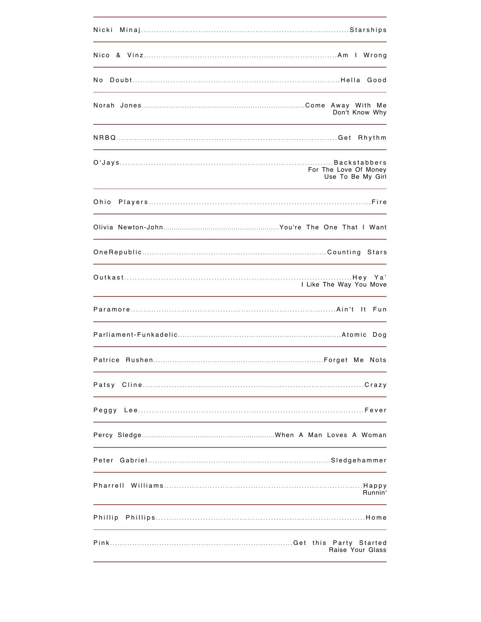| Nicki                                      |
|--------------------------------------------|
|                                            |
| No.                                        |
| Don't Know Why                             |
| Rhythm                                     |
| For The Love Of Money<br>Use To Be My Girl |
| Ohio                                       |
|                                            |
|                                            |
| I Like The Way You Move                    |
|                                            |
| Dog                                        |
|                                            |
|                                            |
| Peggy                                      |
|                                            |
|                                            |
| Runnin'                                    |
| Phillip                                    |
| Raise Your Glass                           |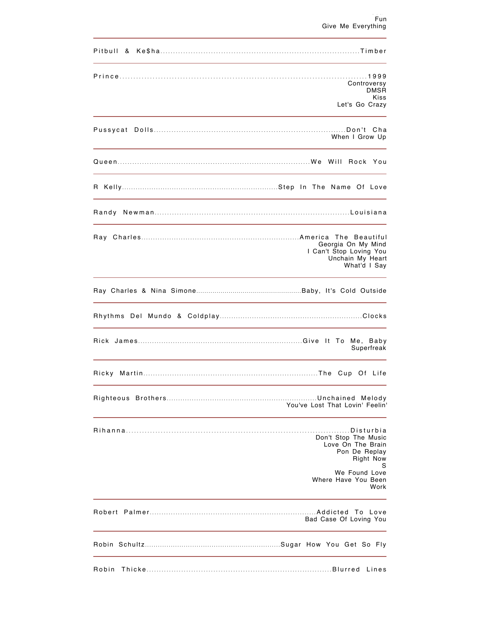|       | Controversy<br><b>DMSR</b><br>Kiss<br>Let's Go Crazy                              |
|-------|-----------------------------------------------------------------------------------|
|       |                                                                                   |
|       | When I Grow Up                                                                    |
|       |                                                                                   |
|       |                                                                                   |
|       |                                                                                   |
|       | Georgia On My Mind<br>I Can't Stop Loving You<br>Unchain My Heart<br>What'd I Say |
|       |                                                                                   |
|       |                                                                                   |
|       | Superfreak                                                                        |
| Ricky |                                                                                   |
|       | You've Lost That Lovin' Feelin'                                                   |
|       | Don't Stop The Music<br>Love On The Brain<br>Pon De Replay<br><b>Right Now</b>    |
|       | S<br>We Found Love<br>Where Have You Been<br>Work                                 |
|       | Bad Case Of Loving You                                                            |
|       |                                                                                   |
| Robin |                                                                                   |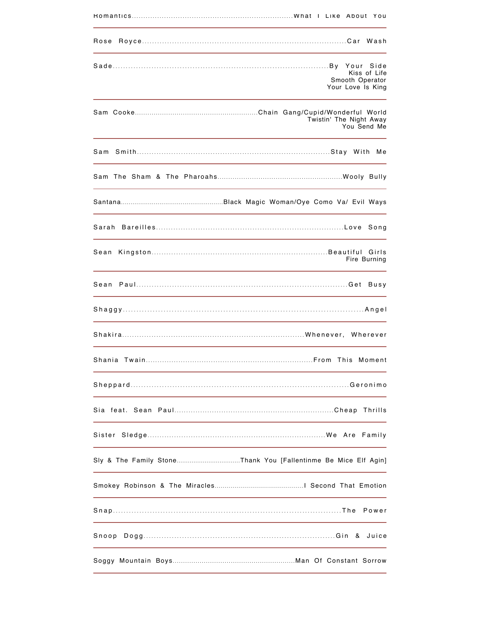| Rose   |                                                      |
|--------|------------------------------------------------------|
|        | Kiss of Life<br>Smooth Operator<br>Your Love Is King |
|        | Twistin' The Night Away<br>You Send Me               |
|        |                                                      |
|        |                                                      |
|        |                                                      |
|        |                                                      |
| Sean   | Fire Burning                                         |
|        |                                                      |
|        |                                                      |
|        |                                                      |
|        |                                                      |
|        |                                                      |
|        |                                                      |
| Sister |                                                      |
|        |                                                      |
|        |                                                      |
|        | Power                                                |
|        |                                                      |
|        |                                                      |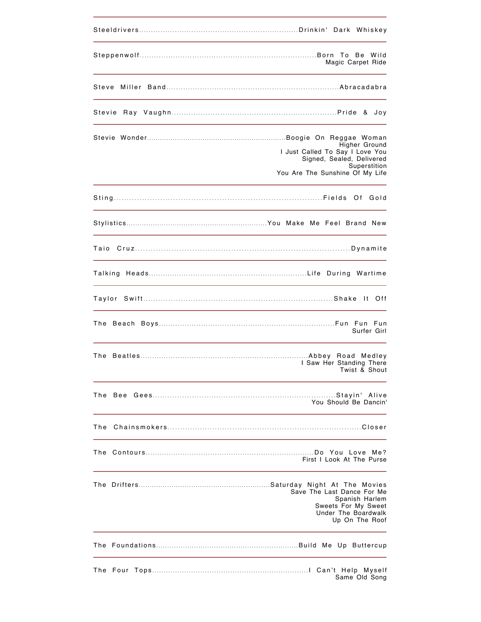|     | Magic Carpet Ride                                                                                                                |
|-----|----------------------------------------------------------------------------------------------------------------------------------|
|     |                                                                                                                                  |
|     |                                                                                                                                  |
|     | Higher Ground<br>I Just Called To Say I Love You<br>Signed, Sealed, Delivered<br>Superstition<br>You Are The Sunshine Of My Life |
|     |                                                                                                                                  |
|     |                                                                                                                                  |
|     |                                                                                                                                  |
|     |                                                                                                                                  |
|     | lt Off                                                                                                                           |
|     | Surfer Girl                                                                                                                      |
|     | I Saw Her Standing There<br>Twist & Shout                                                                                        |
|     | You Should Be Dancin'                                                                                                            |
| The |                                                                                                                                  |
|     | First I Look At The Purse                                                                                                        |
|     | Save The Last Dance For Me<br>Spanish Harlem<br>Sweets For My Sweet<br>Under The Boardwalk<br>Up On The Roof                     |
|     |                                                                                                                                  |
|     | Same Old Song                                                                                                                    |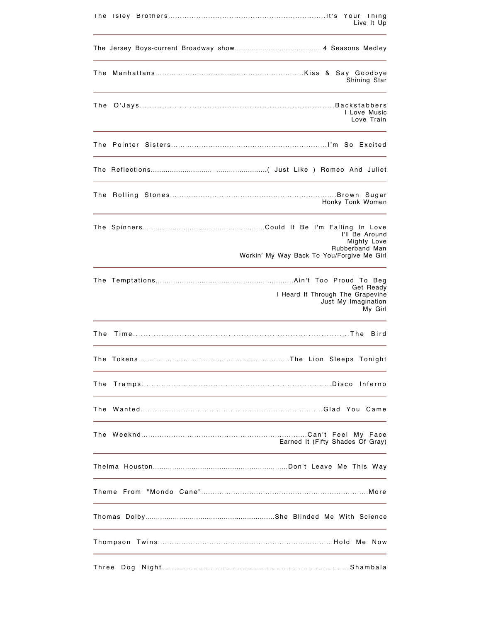| i he  | Live It Up                                                                                    |
|-------|-----------------------------------------------------------------------------------------------|
|       |                                                                                               |
| The   | Shining Star                                                                                  |
|       | I Love Music<br>Love Train                                                                    |
|       |                                                                                               |
|       |                                                                                               |
|       | Honky Tonk Women                                                                              |
|       | I'll Be Around<br>Mighty Love<br>Rubberband Man<br>Workin' My Way Back To You/Forgive Me Girl |
|       | Get Ready<br>I Heard It Through The Grapevine<br>Just My Imagination<br>My Girl               |
| The   | Bird                                                                                          |
|       |                                                                                               |
| The   |                                                                                               |
| The   |                                                                                               |
|       | Earned It (Fifty Shades Of Gray)                                                              |
|       |                                                                                               |
|       |                                                                                               |
|       |                                                                                               |
|       |                                                                                               |
| Three |                                                                                               |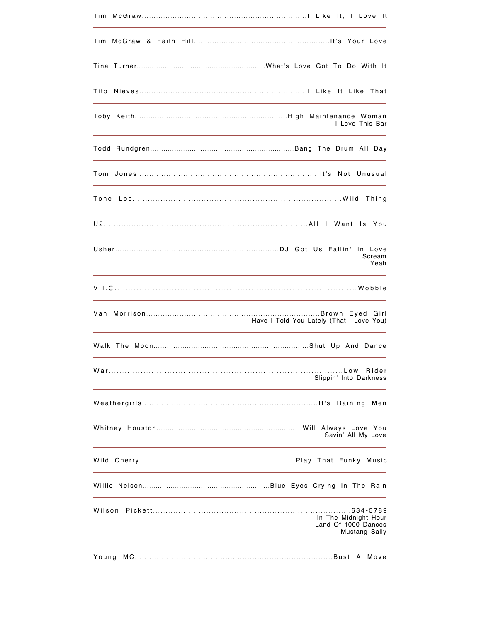| I Love This Bar                                                        |
|------------------------------------------------------------------------|
|                                                                        |
|                                                                        |
|                                                                        |
|                                                                        |
| Scream<br>Yeah                                                         |
|                                                                        |
| Have I Told You Lately (That I Love You)                               |
|                                                                        |
| Rider<br>Slippin' Into Darkness                                        |
|                                                                        |
| Savin' All My Love                                                     |
|                                                                        |
|                                                                        |
| Wilson<br>In The Midnight Hour<br>Land Of 1000 Dances<br>Mustang Sally |
| Young                                                                  |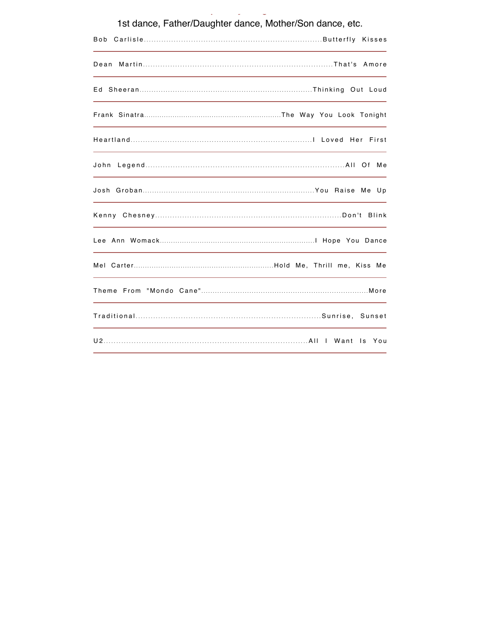| 1st dance, Father/Daughter dance, Mother/Son dance, etc. |  |
|----------------------------------------------------------|--|
| Bob                                                      |  |
|                                                          |  |
|                                                          |  |
|                                                          |  |
|                                                          |  |
| John                                                     |  |
|                                                          |  |
| Kenny                                                    |  |
|                                                          |  |
|                                                          |  |
|                                                          |  |
|                                                          |  |
|                                                          |  |

Specialty Songs